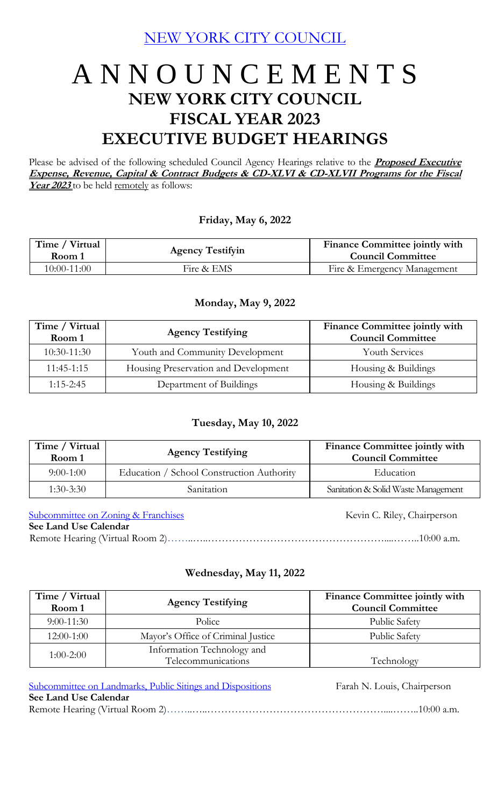[NEW YORK CITY COUNCIL](https://legistar.council.nyc.gov/Calendar.aspx)

# A N N O U N C E M E N T S **NEW YORK CITY COUNCIL FISCAL YEAR 2023 EXECUTIVE BUDGET HEARINGS**

Please be advised of the following scheduled Council Agency Hearings relative to the **Proposed Executive Expense, Revenue, Capital & Contract Budgets & CD-XLVI & CD-XLVII Programs for the Fiscal**  Year 2023 to be held remotely as follows:

## **Friday, May 6, 2022**

| Time / Virtual<br>Room 1 | <b>Agency Testifyin</b> | <b>Finance Committee jointly with</b><br><b>Council Committee</b> |
|--------------------------|-------------------------|-------------------------------------------------------------------|
| 10:00-11:00              | Fire & EMS              | Fire & Emergency Management                                       |

### **Monday, May 9, 2022**

| Time / Virtual<br>Room 1 | <b>Agency Testifying</b>             | Finance Committee jointly with<br><b>Council Committee</b> |
|--------------------------|--------------------------------------|------------------------------------------------------------|
| $10:30-11:30$            | Youth and Community Development      | <b>Youth Services</b>                                      |
| $11:45-1:15$             | Housing Preservation and Development | Housing & Buildings                                        |
| $1:15 - 2:45$            | Department of Buildings              | Housing & Buildings                                        |

## **Tuesday, May 10, 2022**

| Time / Virtual<br>Room 1 | <b>Agency Testifying</b>                  | Finance Committee jointly with<br><b>Council Committee</b> |
|--------------------------|-------------------------------------------|------------------------------------------------------------|
| $9:00-1:00$              | Education / School Construction Authority | Education                                                  |
| $1:30-3:30$              | Sanitation                                | Sanitation & Solid Waste Management                        |

[Subcommittee on Zoning & Franchises](http://legistar.council.nyc.gov/DepartmentDetail.aspx?ID=6924&GUID=E0CAE2B6-1240-4EB7-9640-5B59E51BF05A&R=6dc60e20-70da-452d-9e4f-a48604344b31) Kevin C. Riley, Chairperson

### **See Land Use Calendar**

Remote Hearing (Virtual Room 2)…………………………………………………………………………10:00 a.m.

# **Wednesday, May 11, 2022**

| Time / Virtual<br>Room 1 | <b>Agency Testifying</b>                         | Finance Committee jointly with<br><b>Council Committee</b> |
|--------------------------|--------------------------------------------------|------------------------------------------------------------|
| $9:00-11:30$             | Police                                           | <b>Public Safety</b>                                       |
| $12:00-1:00$             | Mayor's Office of Criminal Justice               | Public Safety                                              |
| $1:00-2:00$              | Information Technology and<br>Telecommunications | Technology                                                 |

| Subcommittee on Landmarks, Public Sitings and Dispositions | Farah N. Louis, Chairperson |
|------------------------------------------------------------|-----------------------------|
| See Land Use Calendar                                      |                             |
|                                                            |                             |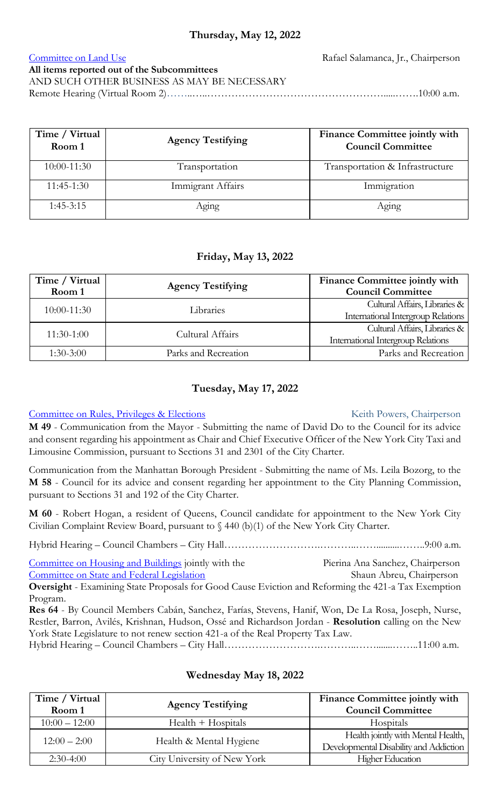# **Thursday, May 12, 2022**

[Committee on Land Use](http://legistar.council.nyc.gov/DepartmentDetail.aspx?ID=6911&GUID=4D11542D-9734-4C79-8A1C-8E30726B2DF9&R=6176eb7d-9425-4022-8219-9903ede3a359) Rafael Salamanca, Jr., Chairperson

# **All items reported out of the Subcommittees**

AND SUCH OTHER BUSINESS AS MAY BE NECESSARY Remote Hearing (Virtual Room 2)……..…..…………………………………………….....…….10:00 a.m.

| Time / Virtual<br>Room 1 | <b>Agency Testifying</b> | Finance Committee jointly with<br><b>Council Committee</b> |
|--------------------------|--------------------------|------------------------------------------------------------|
| 10:00-11:30              | Transportation           | Transportation & Infrastructure                            |
| $11:45-1:30$             | Immigrant Affairs        | Immigration                                                |
| $1:45-3:15$              | Aging                    | Aging                                                      |

# **Friday, May 13, 2022**

| Time / Virtual  | <b>Agency Testifying</b> | Finance Committee jointly with                                                                                                                                            |
|-----------------|--------------------------|---------------------------------------------------------------------------------------------------------------------------------------------------------------------------|
| Room 1          |                          | <b>Council Committee</b>                                                                                                                                                  |
| $10:00 - 11:30$ | Libraries                |                                                                                                                                                                           |
|                 |                          |                                                                                                                                                                           |
| $11:30-1:00$    | Cultural Affairs         |                                                                                                                                                                           |
|                 |                          | Cultural Affairs, Libraries &<br>International Intergroup Relations<br>Cultural Affairs, Libraries &<br><b>International Intergroup Relations</b><br>Parks and Recreation |
| $1:30-3:00$     | Parks and Recreation     |                                                                                                                                                                           |

# **Tuesday, May 17, 2022**

### [Committee on Rules, Privileges & Elections](http://legistar.council.nyc.gov/DepartmentDetail.aspx?ID=6914&GUID=4F72FDE0-80FA-4511-9BDB-B9C3011B4588&R=fa2ba460-9d66-49c8-a026-d6a39e3351cf) Keith Powers, Chairperson

**M 49** - Communication from the Mayor - Submitting the name of David Do to the Council for its advice and consent regarding his appointment as Chair and Chief Executive Officer of the New York City Taxi and Limousine Commission, pursuant to Sections 31 and 2301 of the City Charter.

Communication from the Manhattan Borough President - Submitting the name of Ms. Leila Bozorg, to the **M 58** - Council for its advice and consent regarding her appointment to the City Planning Commission, pursuant to Sections 31 and 192 of the City Charter.

**M 60** - Robert Hogan, a resident of Queens, Council candidate for appointment to the New York City Civilian Complaint Review Board, pursuant to § 440 (b)(1) of the New York City Charter.

Hybrid Hearing – Council Chambers – City Hall……………………….………..……..........……..9:00 a.m.

[Committee on Housing and Buildings](http://legistar.council.nyc.gov/DepartmentDetail.aspx?ID=6910&GUID=AAAF96D6-8CCD-46E5-9DDB-CFF23FE775DB&Search=) jointly with the Pierina Ana Sanchez, Chairperson [Committee on State and Federal Legislation](http://legistar.council.nyc.gov/DepartmentDetail.aspx?ID=6916&GUID=1E327B61-9173-499C-8FFA-156DA1A80255&Search=) Shaun Abreu, Chairperson **Oversight** - Examining State Proposals for Good Cause Eviction and Reforming the 421-a Tax Exemption Program.

**Res 64** - By Council Members Cabán, Sanchez, Farías, Stevens, Hanif, Won, De La Rosa, Joseph, Nurse, Restler, Barron, Avilés, Krishnan, Hudson, Ossé and Richardson Jordan - **Resolution** calling on the New York State Legislature to not renew section 421-a of the Real Property Tax Law. Hybrid Hearing – Council Chambers – City Hall……………………….………..…….......……..11:00 a.m.

| Time / Virtual  | <b>Agency Testifying</b>    | Finance Committee jointly with                                               |
|-----------------|-----------------------------|------------------------------------------------------------------------------|
| Room 1          |                             | <b>Council Committee</b>                                                     |
| $10:00 - 12:00$ | $Health + Hospitals$        | Hospitals                                                                    |
| $12:00 - 2:00$  | Health & Mental Hygiene     | Health jointly with Mental Health,<br>Developmental Disability and Addiction |
| $2:30-4:00$     | City University of New York | <b>Higher Education</b>                                                      |

### **Wednesday May 18, 2022**